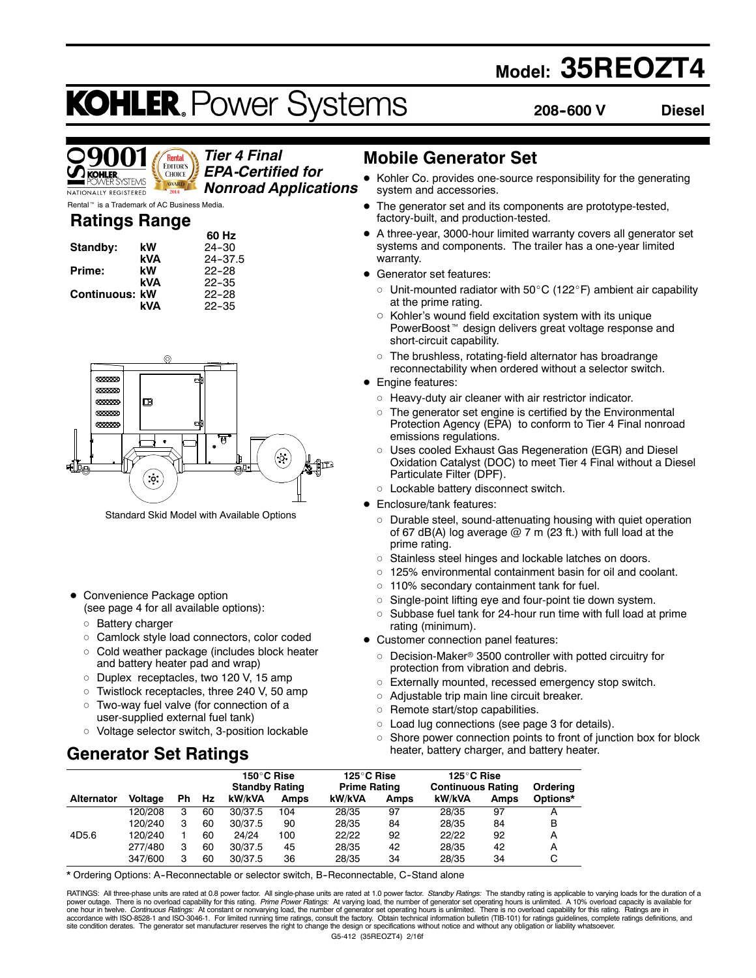## **Model: 35REOZT4**

# **KOHLER. Power Systems**

**208--600 V Diesel**



*Tier 4 Final EPA-Certified for*

*Nonroad Applications*

**Ratings Range** Rental<sup>™</sup> is a Trademark of AC Business Media.

|          | <b>Raungs Range</b> |             |
|----------|---------------------|-------------|
|          |                     | 60 Hz       |
| Standby: | kW                  | $24 - 30$   |
|          | kVA                 | $24 - 37.5$ |
| Prime:   | kW                  | $22 - 28$   |

|                       | <b>NVM</b> | ، ن-24    |
|-----------------------|------------|-----------|
| Prime:                | kW         | $22 - 28$ |
|                       | kVA        | $22 - 35$ |
| <b>Continuous: kW</b> |            | $22 - 28$ |
|                       | kVA        | $22 - 35$ |



Standard Skid Model with Available Options

- Convenience Package option (see page 4 for all available options):
	- o Battery charger
	- o Camlock style load connectors, color coded
	- $\circ$  Cold weather package (includes block heater and battery heater pad and wrap)
	- o Duplex receptacles, two 120 V, 15 amp
	- $\circ$  Twistlock receptacles, three 240 V, 50 amp
	- o Two-way fuel valve (for connection of a user-supplied external fuel tank)
	- o Voltage selector switch, 3-position lockable

## **Generator Set Ratings**

## **Mobile Generator Set**

- Kohler Co. provides one-source responsibility for the generating system and accessories.
- The generator set and its components are prototype-tested, factory-built, and production-tested.
- A three-year, 3000-hour limited warranty covers all generator set systems and components. The trailer has a one-year limited warranty.
- Generator set features:
	- $\circ$  Unit-mounted radiator with 50 $\rm{^{\circ}C}$  (122 $\rm{^{\circ}F}$ ) ambient air capability at the prime rating.
	- $\circ$  Kohler's wound field excitation system with its unique PowerBoost<sup>™</sup> design delivers great voltage response and short-circuit capability.
	- $\circ$  The brushless, rotating-field alternator has broadrange reconnectability when ordered without a selector switch.
- Engine features:
	- $\circ$  Heavy-duty air cleaner with air restrictor indicator.
	- $\circ$  The generator set engine is certified by the Environmental Protection Agency (EPA) to conform to Tier 4 Final nonroad emissions regulations.
	- o Uses cooled Exhaust Gas Regeneration (EGR) and Diesel Oxidation Catalyst (DOC) to meet Tier 4 Final without a Diesel Particulate Filter (DPF).
- o Lockable battery disconnect switch.
- Enclosure/tank features:
	- $\circ$  Durable steel, sound-attenuating housing with quiet operation of 67 dB(A) log average  $@$  7 m (23 ft.) with full load at the prime rating.
	- o Stainless steel hinges and lockable latches on doors.
	- $\circ$  125% environmental containment basin for oil and coolant.
	- $\circ$  110% secondary containment tank for fuel.
	- $\circ$  Single-point lifting eye and four-point tie down system.
	- $\circ$  Subbase fuel tank for 24-hour run time with full load at prime rating (minimum).
- Customer connection panel features:
	- $\circ$  Decision-Maker® 3500 controller with potted circuitry for protection from vibration and debris.
	- o Externally mounted, recessed emergency stop switch.
	- $\circ$  Adjustable trip main line circuit breaker.
	- $\circ$  Remote start/stop capabilities.
	- $\circ$  Load lug connections (see page 3 for details).
	- $\circ$  Shore power connection points to front of junction box for block heater, battery charger, and battery heater.

|                   |         |    |     | 150°C Rise<br><b>Standby Rating</b> |      | 125°C Rise<br><b>Prime Rating</b> |      | 125°C Rise<br><b>Continuous Rating</b> |      | Ordering |
|-------------------|---------|----|-----|-------------------------------------|------|-----------------------------------|------|----------------------------------------|------|----------|
| <b>Alternator</b> | Voltage | Ph | Hz. | kW/kVA                              | Amps | kW/kVA                            | Amps | kW/kVA                                 | Amps | Options* |
|                   | 120/208 | 3  | 60  | 30/37.5                             | 104  | 28/35                             | 97   | 28/35                                  | 97   | А        |
|                   | 120/240 | 3  | 60  | 30/37.5                             | 90   | 28/35                             | 84   | 28/35                                  | 84   | в        |
| 4D5.6             | 120/240 |    | 60  | 24/24                               | 100  | 22/22                             | 92   | 22/22                                  | 92   | А        |
|                   | 277/480 | 3  | 60  | 30/37.5                             | 45   | 28/35                             | 42   | 28/35                                  | 42   | А        |
|                   | 347/600 | з  | 60  | 30/37.5                             | 36   | 28/35                             | 34   | 28/35                                  | 34   |          |

\* Ordering Options: A--Reconnectable or selector switch, B--Reconnectable, C--Stand alone

G5-412 (35REOZT4) 2/16f RATINGS: All three-phase units are rated at 0.8 power factor. All single-phase units are rated at 1.0 power factor. Standby Ratings: The standby rating is applicable to varying loads for the duration of a power outage. There is no overload capability for this rating. *Prime Power Ratings:* At varying load, the number of generator set operating hours is unlimited. A 10% overload capacity is available for<br>one hour in twelve.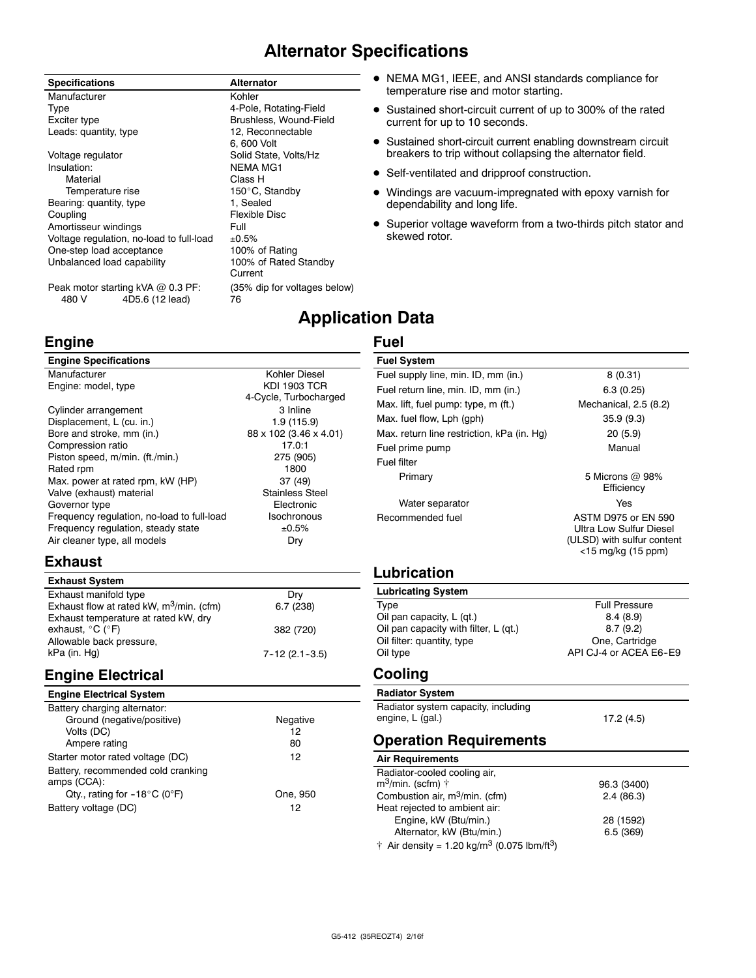## **Alternator Specifications**

**Application Data**

**Fuel**

#### **Specifications Alternator** Manufacturer **Kohler** Type 4-Pole, Rotating-Field Exciter type **Brushless, Wound-Field**<br>
Leads: quantity. type **Brushless** 12. Reconnectable Leads: quantity, type Voltage regulator **Solid State, Volts/Hz** Insulation: NEMA MG1 Material **Material** Class H Temperature rise 150°C, Standby<br>
ring: quantity. type 1. Sealed Bearing: quantity, type Coupling **Flexible Disc** Amortisseur windings<br>Voltage regulation, no-load to full-load ±0.5% Voltage regulation, no-load to full-load  $\pm 0.5\%$ <br>One-step load acceptance 100% of Rating One-step load acceptance 100% of Rating<br>
Unbalanced load capability 100% of Rated Standby Unbalanced load capability

6, 600 Volt Current

- NEMA MG1, IEEE, and ANSI standards compliance for temperature rise and motor starting.
- Sustained short-circuit current of up to 300% of the rated current for up to 10 seconds.
- **•** Sustained short-circuit current enabling downstream circuit breakers to trip without collapsing the alternator field.
- Self-ventilated and dripproof construction.
- Windings are vacuum-impregnated with epoxy varnish for dependability and long life.
- Superior voltage waveform from a two-thirds pitch stator and skewed rotor.

Peak motor starting kVA @ 0.3 PF: (35% dip for voltages below) 480 V 4D5.6 (12 lead) 76

## **Engine**

| <b>Engine Specifications</b>               |                        |
|--------------------------------------------|------------------------|
| Manufacturer                               | Kohler Diesel          |
| Engine: model, type                        | <b>KDI 1903 TCR</b>    |
|                                            | 4-Cycle, Turbocharged  |
| Cylinder arrangement                       | 3 Inline               |
| Displacement, L (cu. in.)                  | 1.9 (115.9)            |
| Bore and stroke, mm (in.)                  | 88 x 102 (3.46 x 4.01) |
| Compression ratio                          | 17.0:1                 |
| Piston speed, m/min. (ft./min.)            | 275 (905)              |
| Rated rpm                                  | 1800                   |
| Max. power at rated rpm, kW (HP)           | 37 (49)                |
| Valve (exhaust) material                   | <b>Stainless Steel</b> |
| Governor type                              | Electronic             |
| Frequency regulation, no-load to full-load | Isochronous            |
| Frequency regulation, steady state         | ±0.5%                  |
| Air cleaner type, all models               | Dry                    |
|                                            |                        |

## **Exhaust**

| <b>Exhaust System</b>                       |                     |
|---------------------------------------------|---------------------|
| Exhaust manifold type                       | Drv                 |
| Exhaust flow at rated kW, $m^3/m$ in. (cfm) | 6.7(238)            |
| Exhaust temperature at rated kW, dry        |                     |
| exhaust, $^{\circ}$ C ( $^{\circ}$ F)       | 382 (720)           |
| Allowable back pressure,                    |                     |
| kPa (in. Hg)                                | $7 - 12(2.1 - 3.5)$ |

## **Engine Electrical**

#### **Engine Electrical System**

| Battery charging alternator:                      |          |
|---------------------------------------------------|----------|
| Ground (negative/positive)                        | Negative |
| Volts (DC)                                        | 12       |
| Ampere rating                                     | 80       |
| Starter motor rated voltage (DC)                  | 12       |
| Battery, recommended cold cranking<br>amps (CCA): |          |
| Qty., rating for $-18^{\circ}$ C (0°F)            | One, 950 |
| Battery voltage (DC)                              | 12       |

| <b>Fuel System</b>                         |                                                                                                           |
|--------------------------------------------|-----------------------------------------------------------------------------------------------------------|
| Fuel supply line, min. ID, mm (in.)        | 8(0.31)                                                                                                   |
| Fuel return line, min. ID, mm (in.)        | 6.3(0.25)                                                                                                 |
| Max. lift, fuel pump: type, m (ft.)        | Mechanical, 2.5 (8.2)                                                                                     |
| Max. fuel flow, Lph (gph)                  | 35.9(9.3)                                                                                                 |
| Max. return line restriction, kPa (in. Hg) | 20(5.9)                                                                                                   |
| Fuel prime pump                            | Manual                                                                                                    |
| Fuel filter                                |                                                                                                           |
| Primary                                    | 5 Microns @ 98%<br>Efficiency                                                                             |
| Water separator                            | Yes                                                                                                       |
| Recommended fuel                           | <b>ASTM D975 or EN 590</b><br>Ultra Low Sulfur Diesel<br>(ULSD) with sulfur content<br><15 mg/kg (15 ppm) |

## **Lubrication**

| <b>Lubricating System</b>             |                        |
|---------------------------------------|------------------------|
| Type                                  | <b>Full Pressure</b>   |
| Oil pan capacity, L (qt.)             | 8.4(8.9)               |
| Oil pan capacity with filter, L (qt.) | 8.7(9.2)               |
| Oil filter: quantity, type            | One, Cartridge         |
| Oil type                              | API CJ-4 or ACEA E6-E9 |

#### **Cooling**

| <b>Radiator System</b>              |            |
|-------------------------------------|------------|
| Radiator system capacity, including |            |
| engine, L (gal.)                    | 17.2 (4.5) |

## **Operation Requirements**

#### **Air Requirements**

| Radiator-cooled cooling air,                                        |             |
|---------------------------------------------------------------------|-------------|
| $m^3$ /min. (scfm) $\uparrow$                                       | 96.3 (3400) |
| Combustion air, $m^3/m$ in. (cfm)                                   | 2.4(86.3)   |
| Heat rejected to ambient air:                                       |             |
| Engine, kW (Btu/min.)                                               | 28 (1592)   |
| Alternator, kW (Btu/min.)                                           | 6.5(369)    |
| † Air density = 1.20 kg/m <sup>3</sup> (0.075 lbm/ft <sup>3</sup> ) |             |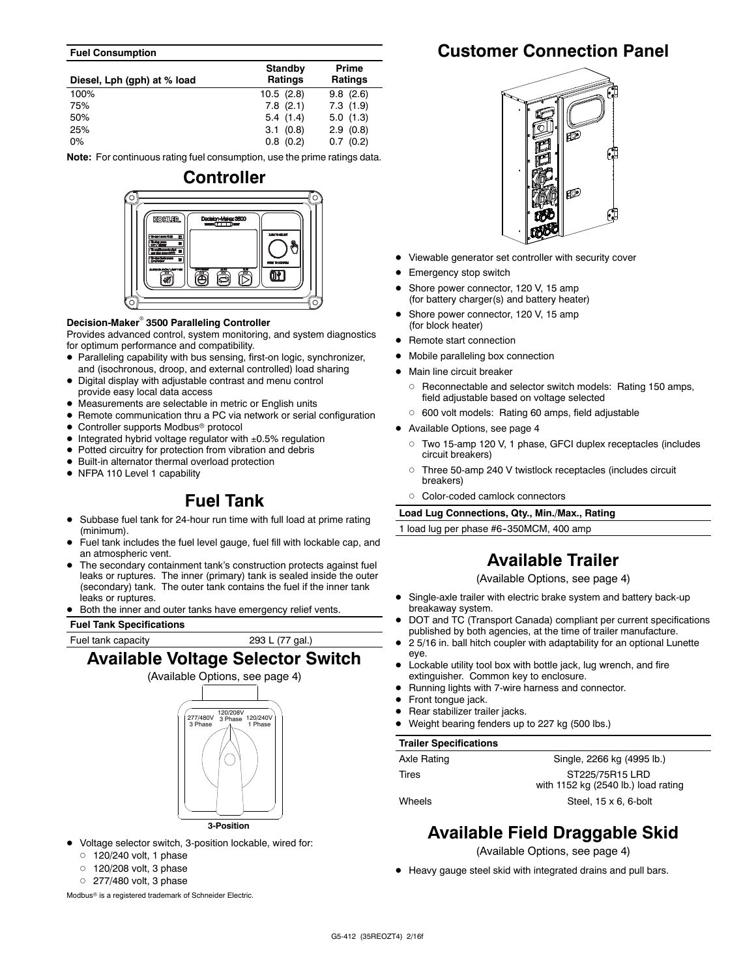#### **Fuel Consumption**

| Diesel, Lph (gph) at % load | <b>Standby</b><br>Ratings | Prime<br><b>Ratings</b> |
|-----------------------------|---------------------------|-------------------------|
| 100%                        | 10.5(2.8)                 | 9.8(2.6)                |
| 75%                         | $7.8$ $(2.1)$             | 7.3(1.9)                |
| 50%                         | 5.4(1.4)                  | 5.0(1.3)                |
| 25%                         | 3.1(0.8)                  | 2.9(0.8)                |
| $0\%$                       | $0.8$ $(0.2)$             | 0.7(0.2)                |

**Note:** For continuous rating fuel consumption, use the prime ratings data.



#### **Decision-Maker<sup>®</sup> 3500 Paralleling Controller**

Provides advanced control, system monitoring, and system diagnostics for optimum performance and compatibility.

- Paralleling capability with bus sensing, first-on logic, synchronizer, and (isochronous, droop, and external controlled) load sharing
- $\bullet$  Digital display with adjustable contrast and menu control provide easy local data access
- Measurements are selectable in metric or English units
- Remote communication thru a PC via network or serial configuration
- Controller supports Modbus<sup>®</sup> protocol
- $\bullet$  Integrated hybrid voltage regulator with  $\pm 0.5\%$  regulation
- Potted circuitry for protection from vibration and debris
- $\bullet$  Built-in alternator thermal overload protection
- NFPA 110 Level 1 capability

## **Fuel Tank**

- Subbase fuel tank for 24-hour run time with full load at prime rating (minimum).
- Fuel tank includes the fuel level gauge, fuel fill with lockable cap, and an atmospheric vent.
- The secondary containment tank's construction protects against fuel leaks or ruptures. The inner (primary) tank is sealed inside the outer (secondary) tank. The outer tank contains the fuel if the inner tank leaks or ruptures.
- Both the inner and outer tanks have emergency relief vents.

#### **Fuel Tank Specifications**

Fuel tank capacity 293 L (77 gal.)

## **Available Voltage Selector Switch**



- $\bullet$  Voltage selector switch, 3-position lockable, wired for:
	- $0$  120/240 volt, 1 phase
	- $\circ$  120/208 volt, 3 phase
	- $O$  277/480 volt, 3 phase

Modbus<sup>®</sup> is a registered trademark of Schneider Electric.

## **Customer Connection Panel**



- Viewable generator set controller with security cover
- Emergency stop switch
- Shore power connector, 120 V, 15 amp (for battery charger(s) and battery heater)
- Shore power connector, 120 V, 15 amp (for block heater)
- Remote start connection
- Mobile paralleling box connection
- Main line circuit breaker
- o Reconnectable and selector switch models: Rating 150 amps, field adjustable based on voltage selected
- o 600 volt models: Rating 60 amps, field adjustable
- Available Options, see page 4
	- d Two 15-amp 120 V, 1 phase, GFCI duplex receptacles (includes circuit breakers)
	- o Three 50-amp 240 V twistlock receptacles (includes circuit breakers)
	- o Color-coded camlock connectors

**Load Lug Connections, Qty., Min./Max., Rating**

1 load lug per phase #6-350MCM, 400 amp

## **Available Trailer**

(Available Options, see page 4)

- Single-axle trailer with electric brake system and battery back-up breakaway system.
- DOT and TC (Transport Canada) compliant per current specifications published by both agencies, at the time of trailer manufacture.
- 2 5/16 in. ball hitch coupler with adaptability for an optional Lunette eye.
- Lockable utility tool box with bottle jack, lug wrench, and fire extinguisher. Common key to enclosure.
- Running lights with 7-wire harness and connector.
- Front tongue jack.
- Rear stabilizer trailer jacks.
- Weight bearing fenders up to 227 kg (500 lbs.)

#### **Trailer Specifications**

| Axle Rating | Single, 2266 kg (4995 lb.)          |
|-------------|-------------------------------------|
| Tires       | ST225/75R15 LRD                     |
|             | with 1152 kg (2540 lb.) load rating |
| Wheels      | Steel, $15 \times 6$ , 6-bolt       |

## **Available Field Draggable Skid**

(Available Options, see page 4)

• Heavy gauge steel skid with integrated drains and pull bars.